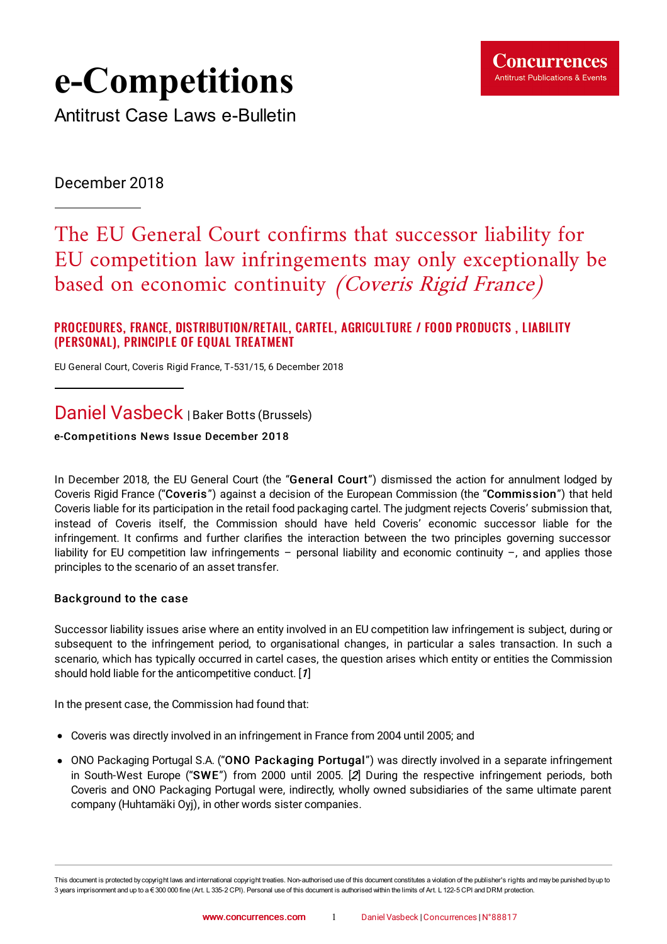

# **e-Competitions**

Antitrust Case Laws e-Bulletin

December 2018

## The EU General Court confirms that successor liability for EU competition law infringements may only exceptionally be based on economic continuity (Coveris Rigid France)

#### PROCEDURES, FRANCE, DISTRIBUTION/RETAIL, CARTEL, AGRICULTURE / FOOD PRODUCTS, LIABILITY (PERSONAL), PRINCIPLE OF EQUAL TREATMENT

EU General Court, Coveris Rigid France, T‑531/15, 6 [December](https://www.concurrences.com/IMG/pdf/t-531_15.pdf?46987/27cd5b4a887a91d6512acad286848bd00cbb9462) 2018

### Daniel Vasbeck | Baker Botts (Brussels)

#### e-Competitions News Issue December 2018

In December 2018, the EU General Court (the "General Court") dismissed the action for annulment lodged by Coveris Rigid France ("Coveris ") against a decision of the European Commission (the "Commission") that held Coveris liable for its participation in the retail food packaging cartel. The judgment rejects Coveris' submission that, instead of Coveris itself, the Commission should have held Coveris' economic successor liable for the infringement. It confirms and further clarifies the interaction between the two principles governing successor liability for EU competition law infringements – personal liability and economic continuity –, and applies those principles to the scenario of an asset transfer.

#### Background to the case

Successor liability issues arise where an entity involved in an EU competition law infringement is subject, during or subsequent to the infringement period, to organisational changes, in particular a sales transaction. In such a scenario, which has typically occurred in cartel cases, the question arises which entity or entities the Commission should hold liable for the anticompetitive conduct. [[1](#page-4-0)]

<span id="page-0-0"></span>In the present case, the Commission had found that:

- Coveris was directly involved in an infringement in France from 2004 until 2005; and
- <span id="page-0-1"></span>• ONO Packaging Portugal S.A. ("ONO Packaging Portugal") was directly involved in a separate infringement in South-West Europe ("SWE") from 2000 until 2005. [[2](#page-4-1)] During the respective infringement periods, both Coveris and ONO Packaging Portugal were, indirectly, wholly owned subsidiaries of the same ultimate parent company (Huhtamäki Oyj), in other words sister companies.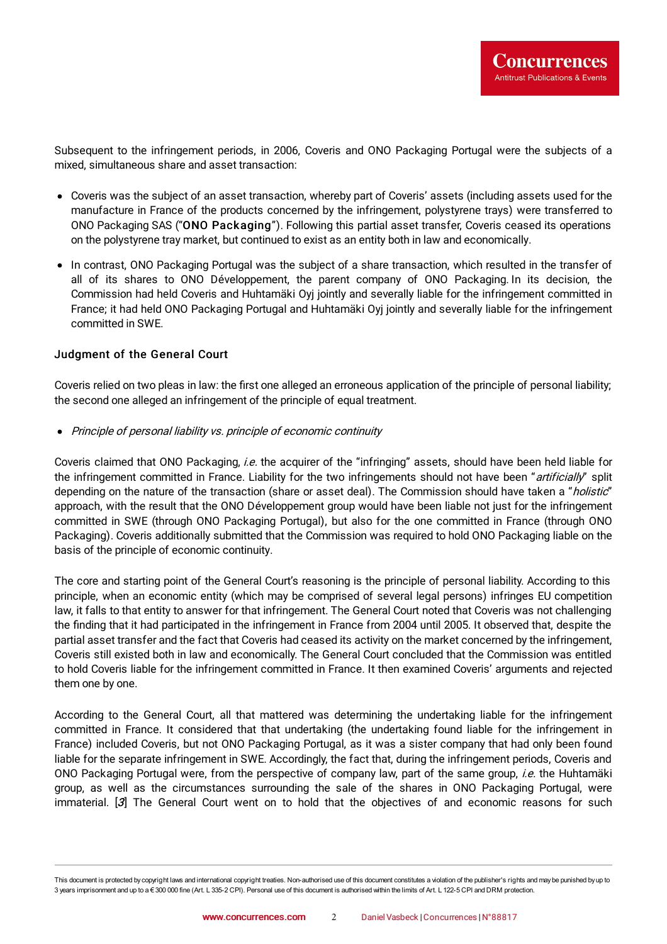Subsequent to the infringement periods, in 2006, Coveris and ONO Packaging Portugal were the subjects of a mixed, simultaneous share and asset transaction:

- Coveris was the subject of an asset transaction, whereby part of Coveris' assets (including assets used for the manufacture in France of the products concerned by the infringement, polystyrene trays) were transferred to ONO Packaging SAS ("ONO Packaging"). Following this partial asset transfer, Coveris ceased its operations on the polystyrene tray market, but continued to exist as an entity both in law and economically.
- In contrast, ONO Packaging Portugal was the subject of a share transaction, which resulted in the transfer of all of its shares to ONO Développement, the parent company of ONO Packaging. In its decision, the Commission had held Coveris and Huhtamäki Oyj jointly and severally liable for the infringement committed in France; it had held ONO Packaging Portugal and Huhtamäki Oyj jointly and severally liable for the infringement committed in SWE.

#### Judgment of the General Court

Coveris relied on two pleas in law: the first one alleged an erroneous application of the principle of personal liability; the second one alleged an infringement of the principle of equal treatment.

• Principle of personal liability vs. principle of economic continuity

Coveris claimed that ONO Packaging, *i.e.* the acquirer of the "infringing" assets, should have been held liable for the infringement committed in France. Liability for the two infringements should not have been "artificially" split depending on the nature of the transaction (share or asset deal). The Commission should have taken a "holistic" approach, with the result that the ONO Développement group would have been liable not just for the infringement committed in SWE (through ONO Packaging Portugal), but also for the one committed in France (through ONO Packaging). Coveris additionally submitted that the Commission was required to hold ONO Packaging liable on the basis of the principle of economic continuity.

The core and starting point of the General Court's reasoning is the principle of personal liability. According to this principle, when an economic entity (which may be comprised of several legal persons) infringes EU competition law, it falls to that entity to answer for that infringement. The General Court noted that Coveris was not challenging the finding that it had participated in the infringement in France from 2004 until 2005. It observed that, despite the partial asset transfer and the fact that Coveris had ceased its activity on the market concerned by the infringement, Coveris still existed both in law and economically. The General Court concluded that the Commission was entitled to hold Coveris liable for the infringement committed in France. It then examined Coveris' arguments and rejected them one by one.

According to the General Court, all that mattered was determining the undertaking liable for the infringement committed in France. It considered that that undertaking (the undertaking found liable for the infringement in France) included Coveris, but not ONO Packaging Portugal, as it was a sister company that had only been found liable for the separate infringement in SWE. Accordingly, the fact that, during the infringement periods, Coveris and ONO Packaging Portugal were, from the perspective of company law, part of the same group, *i.e.* the Huhtamäki group, as well as the circumstances surrounding the sale of the shares in ONO Packaging Portugal, were immaterial. [[3](#page-5-0)] The General Court went on to hold that the objectives of and economic reasons for such

<span id="page-1-0"></span>This document is protected by copyright laws and international copyright treaties. Non-authorised use of this document constitutes a violation of the publisher's rights and maybe punished byup to 3 years imprisonment and up to a € 300 000 fine (Art. L 335-2 CPI). Personal use of this document is authorised within the limits of Art. L 122-5 CPI and DRM protection.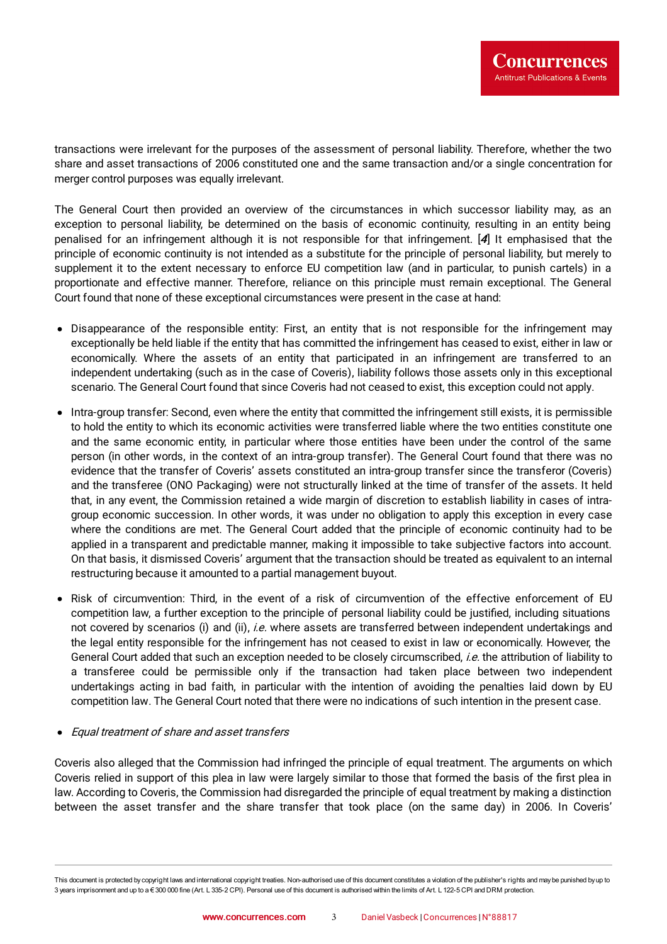transactions were irrelevant for the purposes of the assessment of personal liability. Therefore, whether the two share and asset transactions of 2006 constituted one and the same transaction and/or a single concentration for merger control purposes was equally irrelevant.

<span id="page-2-0"></span>The General Court then provided an overview of the circumstances in which successor liability may, as an exception to personal liability, be determined on the basis of economic continuity, resulting in an entity being penalised for an infringement although it is not responsible for that infringement. [[4](#page-5-1)] It emphasised that the principle of economic continuity is not intended as a substitute for the principle of personal liability, but merely to supplement it to the extent necessary to enforce EU competition law (and in particular, to punish cartels) in a proportionate and effective manner. Therefore, reliance on this principle must remain exceptional. The General Court found that none of these exceptional circumstances were present in the case at hand:

- Disappearance of the responsible entity: First, an entity that is not responsible for the infringement may exceptionally be held liable if the entity that has committed the infringement has ceased to exist, either in law or economically. Where the assets of an entity that participated in an infringement are transferred to an independent undertaking (such as in the case of Coveris), liability follows those assets only in this exceptional scenario. The General Court found that since Coveris had not ceased to exist, this exception could not apply.
- Intra-group transfer: Second, even where the entity that committed the infringement still exists, it is permissible to hold the entity to which its economic activities were transferred liable where the two entities constitute one and the same economic entity, in particular where those entities have been under the control of the same person (in other words, in the context of an intra-group transfer). The General Court found that there was no evidence that the transfer of Coveris' assets constituted an intra-group transfer since the transferor (Coveris) and the transferee (ONO Packaging) were not structurally linked at the time of transfer of the assets. It held that, in any event, the Commission retained a wide margin of discretion to establish liability in cases of intragroup economic succession. In other words, it was under no obligation to apply this exception in every case where the conditions are met. The General Court added that the principle of economic continuity had to be applied in a transparent and predictable manner, making it impossible to take subjective factors into account. On that basis, it dismissed Coveris' argument that the transaction should be treated as equivalent to an internal restructuring because it amounted to a partial management buyout.
- Risk of circumvention: Third, in the event of a risk of circumvention of the effective enforcement of EU competition law, a further exception to the principle of personal liability could be justified, including situations not covered by scenarios (i) and (ii), i.e. where assets are transferred between independent undertakings and the legal entity responsible for the infringement has not ceased to exist in law or economically. However, the General Court added that such an exception needed to be closely circumscribed, *i.e.* the attribution of liability to a transferee could be permissible only if the transaction had taken place between two independent undertakings acting in bad faith, in particular with the intention of avoiding the penalties laid down by EU competition law. The General Court noted that there were no indications of such intention in the present case.

#### Equal treatment of share and asset transfers

Coveris also alleged that the Commission had infringed the principle of equal treatment. The arguments on which Coveris relied in support of this plea in law were largely similar to those that formed the basis of the first plea in law. According to Coveris, the Commission had disregarded the principle of equal treatment by making a distinction between the asset transfer and the share transfer that took place (on the same day) in 2006. In Coveris'

This document is protected by copyright laws and international copyright treaties. Non-authorised use of this document constitutes a violation of the publisher's rights and maybe punished byup to 3 years imprisonment and up to a € 300 000 fine (Art. L 335-2 CPI). Personal use of this document is authorised within the limits of Art. L 122-5 CPI and DRM protection.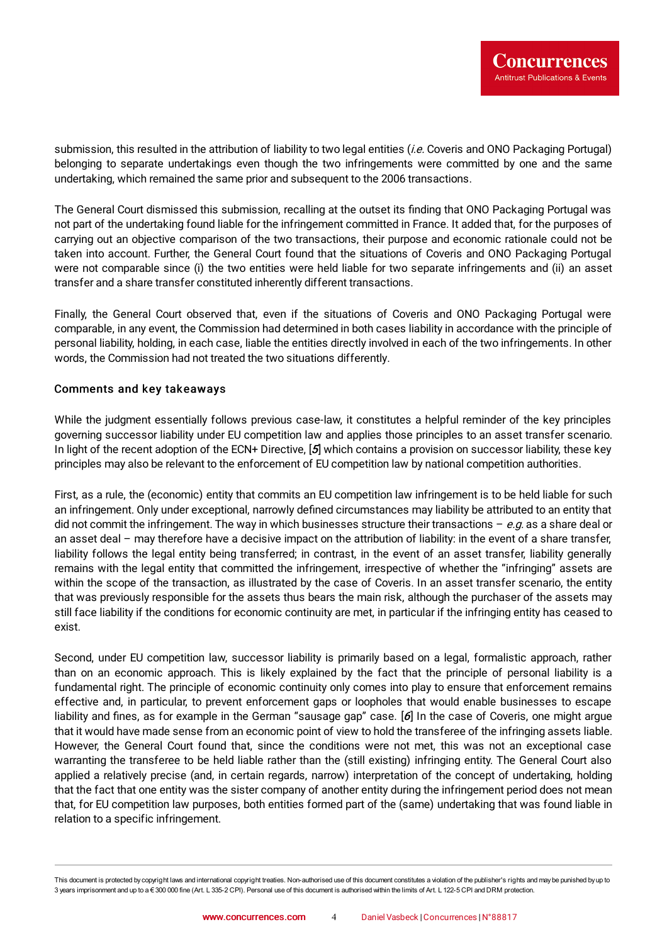submission, this resulted in the attribution of liability to two legal entities *(i.e.* Coveris and ONO Packaging Portugal) belonging to separate undertakings even though the two infringements were committed by one and the same undertaking, which remained the same prior and subsequent to the 2006 transactions.

The General Court dismissed this submission, recalling at the outset its finding that ONO Packaging Portugal was not part of the undertaking found liable for the infringement committed in France. It added that, for the purposes of carrying out an objective comparison of the two transactions, their purpose and economic rationale could not be taken into account. Further, the General Court found that the situations of Coveris and ONO Packaging Portugal were not comparable since (i) the two entities were held liable for two separate infringements and (ii) an asset transfer and a share transfer constituted inherently different transactions.

Finally, the General Court observed that, even if the situations of Coveris and ONO Packaging Portugal were comparable, in any event, the Commission had determined in both cases liability in accordance with the principle of personal liability, holding, in each case, liable the entities directly involved in each of the two infringements. In other words, the Commission had not treated the two situations differently.

#### Comments and key takeaways

<span id="page-3-0"></span>While the judgment essentially follows previous case-law, it constitutes a helpful reminder of the key principles governing successor liability under EU competition law and applies those principles to an asset transfer scenario. In light of the recent adoption of the ECN+ Directive, [[5](#page-5-2)] which contains a provision on successor liability, these key principles may also be relevant to the enforcement of EU competition law by national competition authorities.

First, as a rule, the (economic) entity that commits an EU competition law infringement is to be held liable for such an infringement. Only under exceptional, narrowly defined circumstances may liability be attributed to an entity that did not commit the infringement. The way in which businesses structure their transactions  $-e.g.$  as a share deal or an asset deal – may therefore have a decisive impact on the attribution of liability: in the event of a share transfer, liability follows the legal entity being transferred; in contrast, in the event of an asset transfer, liability generally remains with the legal entity that committed the infringement, irrespective of whether the "infringing" assets are within the scope of the transaction, as illustrated by the case of Coveris. In an asset transfer scenario, the entity that was previously responsible for the assets thus bears the main risk, although the purchaser of the assets may still face liability if the conditions for economic continuity are met, in particular if the infringing entity has ceased to exist.

<span id="page-3-1"></span>Second, under EU competition law, successor liability is primarily based on a legal, formalistic approach, rather than on an economic approach. This is likely explained by the fact that the principle of personal liability is a fundamental right. The principle of economic continuity only comes into play to ensure that enforcement remains effective and, in particular, to prevent enforcement gaps or loopholes that would enable businesses to escape liability and fines, as for example in the German "sausage gap" case. [[6](#page-5-3)] In the case of Coveris, one might argue that it would have made sense from an economic point of view to hold the transferee of the infringing assets liable. However, the General Court found that, since the conditions were not met, this was not an exceptional case warranting the transferee to be held liable rather than the (still existing) infringing entity. The General Court also applied a relatively precise (and, in certain regards, narrow) interpretation of the concept of undertaking, holding that the fact that one entity was the sister company of another entity during the infringement period does not mean that, for EU competition law purposes, both entities formed part of the (same) undertaking that was found liable in relation to a specific infringement.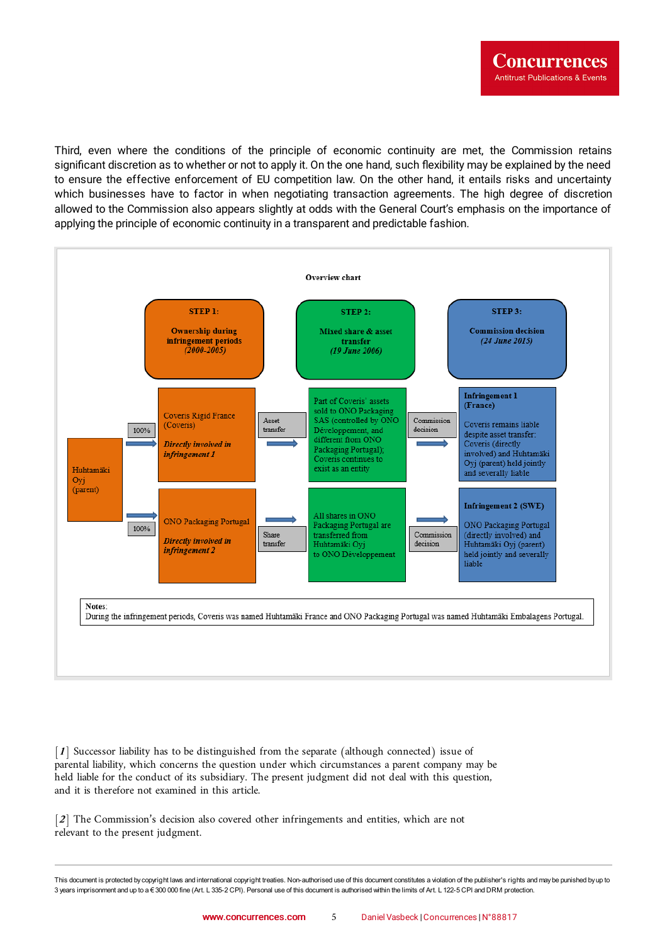Third, even where the conditions of the principle of economic continuity are met, the Commission retains significant discretion as to whether or not to apply it. On the one hand, such flexibility may be explained by the need to ensure the effective enforcement of EU competition law. On the other hand, it entails risks and uncertainty which businesses have to factor in when negotiating transaction agreements. The high degree of discretion allowed to the Commission also appears slightly at odds with the General Court's emphasis on the importance of applying the principle of economic continuity in a transparent and predictable fashion.



<span id="page-4-0"></span>[[1](#page-0-0)] Successor liability has to be distinguished from the separate (although connected) issue of parental liability, which concerns the question under which circumstances a parent company may be held liable for the conduct of its subsidiary. The present judgment did not deal with this question, and it is therefore not examined in this article.

<span id="page-4-1"></span>[[2](#page-0-1)] The Commission's decision also covered other infringements and entities, which are not relevant to the present judgment.